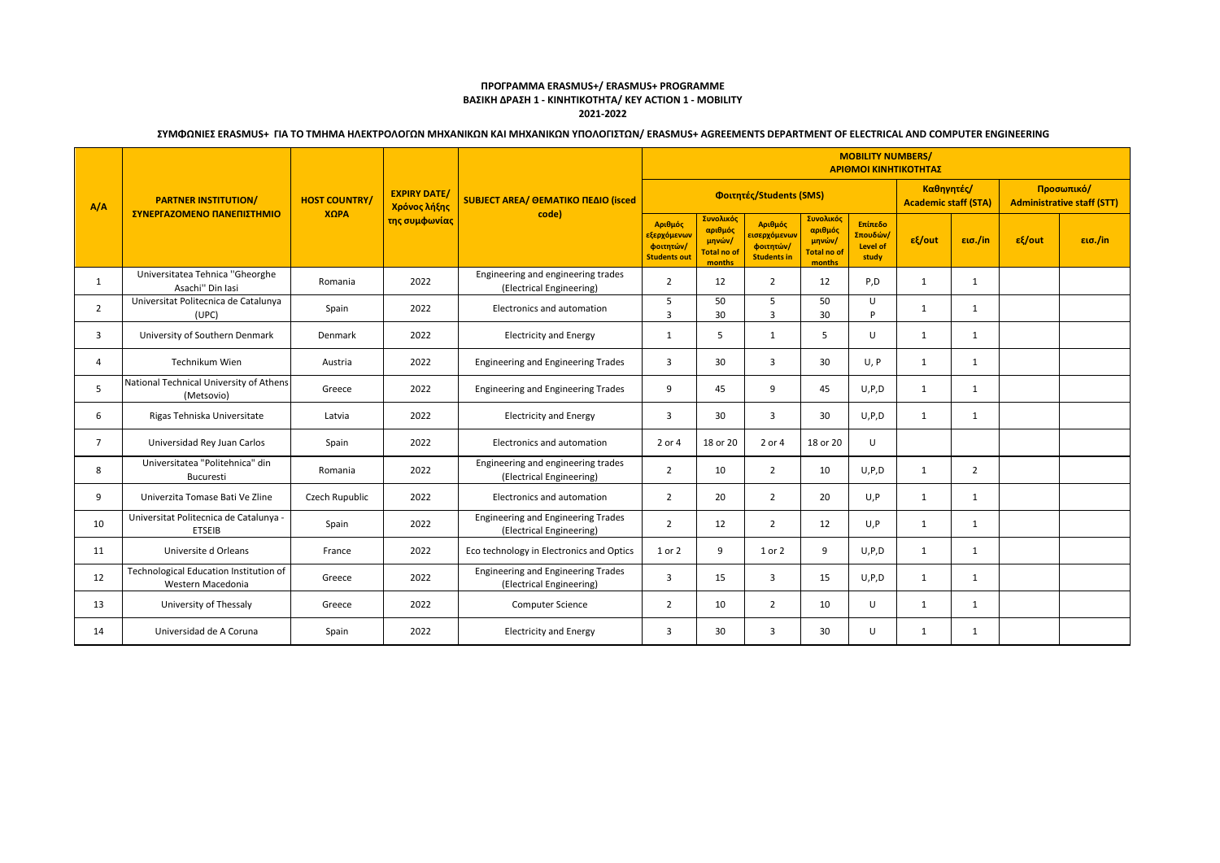## **ΠΡΟΓΡΑΜΜΑ ERASMUS+/ ERASMUS+ PROGRAMME ΒΑΣΙΚΗ ΔΡΑΣΗ 1 - ΚΙΝΗΤΙΚΟΤΗΤΑ/ KEY ACTION 1 - MOBILITY 2021-2022**

# **ΣΥΜΦΩΝΙΕΣ ERASMUS+ ΓΙΑ ΤΟ ΤΜΗΜΑ ΗΛΕΚΤΡΟΛΟΓΩΝ ΜΗΧΑΝΙΚΩΝ ΚΑΙ ΜΗΧΑΝΙΚΩΝ ΥΠΟΛΟΓΙΣΤΩΝ/ ERASMUS+ AGREEMENTS DEPARTMENT OF ELECTRICAL AND COMPUTER ENGINEERING**

| A/A            | <b>PARTNER INSTITUTION/</b><br>ΣΥΝΕΡΓΑΖΟΜΕΝΟ ΠΑΝΕΠΙΣΤΗΜΙΟ   | <b>HOST COUNTRY/</b><br>XQPA | <b>EXPIRY DATE/</b><br>Χρόνος λήξης<br>της συμφωνίας | <b>SUBJECT AREA/ ΘΕΜΑΤΙΚΟ ΠΕΔΙΟ (isced)</b><br>code)                  | <b>MOBILITY NUMBERS/</b><br>ΑΡΙΘΜΟΙ ΚΙΝΗΤΙΚΟΤΗΤΑΣ                        |                                                                |                                                            |                                                                |                                          |                                           |                   |                                                 |         |
|----------------|-------------------------------------------------------------|------------------------------|------------------------------------------------------|-----------------------------------------------------------------------|--------------------------------------------------------------------------|----------------------------------------------------------------|------------------------------------------------------------|----------------------------------------------------------------|------------------------------------------|-------------------------------------------|-------------------|-------------------------------------------------|---------|
|                |                                                             |                              |                                                      |                                                                       | Φοιτητές/Students (SMS)                                                  |                                                                |                                                            |                                                                |                                          | Καθηνητές/<br><b>Academic staff (STA)</b> |                   | Προσωπικό/<br><b>Administrative staff (STT)</b> |         |
|                |                                                             |                              |                                                      |                                                                       | Αριθμός<br><mark>εξερχόμενω</mark> ν<br>φοιτητών/<br><b>Students out</b> | Συνολικός<br>αριθμός<br>μηνών/<br><b>Total no of</b><br>months | Αριθμός<br>εισερχόμενων<br>φοιτητών/<br><b>Students in</b> | Συνολικός<br>αριθμός<br>μηνών/<br><b>Total no of</b><br>months | Επίπεδο<br>Σπουδών/<br>Level of<br>study | $ε$ {/out                                 | $\epsilon$ ισ./in | $ε$ {/out                                       | εισ./in |
| 1              | Universitatea Tehnica "Gheorghe<br>Asachi" Din Iasi         | Romania                      | 2022                                                 | Engineering and engineering trades<br>(Electrical Engineering)        | $\overline{2}$                                                           | 12                                                             | 2                                                          | 12                                                             | P,D                                      | 1                                         | $\mathbf{1}$      |                                                 |         |
| $\overline{2}$ | Universitat Politecnica de Catalunya<br>(UPC)               | Spain                        | 2022                                                 | Electronics and automation                                            | 5<br>3                                                                   | 50<br>30                                                       | 5<br>$\overline{3}$                                        | 50<br>30                                                       | U<br>D                                   | 1                                         | $\mathbf{1}$      |                                                 |         |
| 3              | University of Southern Denmark                              | Denmark                      | 2022                                                 | <b>Electricity and Energy</b>                                         | 1                                                                        | 5                                                              | $\mathbf{1}$                                               | 5                                                              | U                                        | 1                                         | 1                 |                                                 |         |
| 4              | Technikum Wien                                              | Austria                      | 2022                                                 | <b>Engineering and Engineering Trades</b>                             | $\overline{3}$                                                           | 30                                                             | 3                                                          | 30                                                             | U, P                                     | 1                                         | $\mathbf{1}$      |                                                 |         |
| 5              | National Technical University of Athens<br>(Metsovio)       | Greece                       | 2022                                                 | <b>Engineering and Engineering Trades</b>                             | 9                                                                        | 45                                                             | 9                                                          | 45                                                             | U, P, D                                  | 1                                         | 1                 |                                                 |         |
| 6              | Rigas Tehniska Universitate                                 | Latvia                       | 2022                                                 | <b>Electricity and Energy</b>                                         | $\overline{3}$                                                           | 30                                                             | 3                                                          | 30                                                             | U, P, D                                  | 1                                         | -1                |                                                 |         |
| $\overline{7}$ | Universidad Rey Juan Carlos                                 | Spain                        | 2022                                                 | Electronics and automation                                            | 2 or 4                                                                   | 18 or 20                                                       | 2 or 4                                                     | 18 or 20                                                       | U                                        |                                           |                   |                                                 |         |
| 8              | Universitatea "Politehnica" din<br><b>Bucuresti</b>         | Romania                      | 2022                                                 | Engineering and engineering trades<br>(Electrical Engineering)        | $\overline{2}$                                                           | 10                                                             | $\overline{2}$                                             | 10                                                             | U, P, D                                  | 1                                         | 2                 |                                                 |         |
| 9              | Univerzita Tomase Bati Ve Zline                             | Czech Rupublic               | 2022                                                 | Electronics and automation                                            | $\overline{2}$                                                           | 20                                                             | $\overline{2}$                                             | 20                                                             | U, P                                     | 1                                         | 1                 |                                                 |         |
| 10             | Universitat Politecnica de Catalunya -<br><b>ETSEIB</b>     | Spain                        | 2022                                                 | <b>Engineering and Engineering Trades</b><br>(Electrical Engineering) | $\overline{2}$                                                           | 12                                                             | $\overline{2}$                                             | 12                                                             | U, P                                     | 1                                         | 1                 |                                                 |         |
| 11             | Universite d Orleans                                        | France                       | 2022                                                 | Eco technology in Electronics and Optics                              | 1 or 2                                                                   | 9                                                              | 1 or 2                                                     | 9                                                              | U, P, D                                  | 1                                         | 1                 |                                                 |         |
| 12             | Technological Education Institution of<br>Western Macedonia | Greece                       | 2022                                                 | <b>Engineering and Engineering Trades</b><br>(Electrical Engineering) | $\overline{3}$                                                           | 15                                                             | $\overline{3}$                                             | 15                                                             | U, P, D                                  | 1                                         | 1                 |                                                 |         |
| 13             | University of Thessaly                                      | Greece                       | 2022                                                 | <b>Computer Science</b>                                               | $\overline{2}$                                                           | 10                                                             | $\overline{2}$                                             | 10                                                             | $\cup$                                   | 1                                         | 1                 |                                                 |         |
| 14             | Universidad de A Coruna                                     | Spain                        | 2022                                                 | <b>Electricity and Energy</b>                                         | $\overline{3}$                                                           | 30                                                             | 3                                                          | 30                                                             | $\cup$                                   | 1                                         | 1                 |                                                 |         |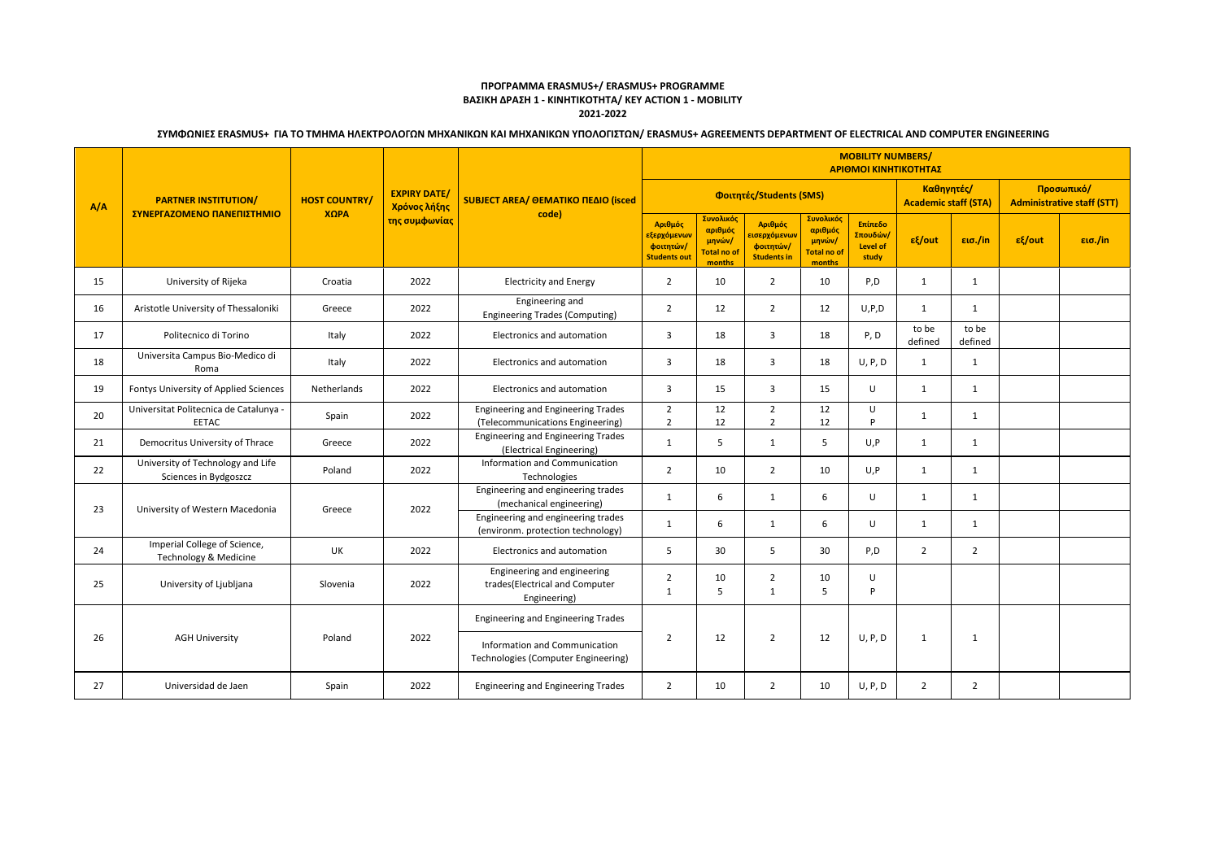## **ΠΡΟΓΡΑΜΜΑ ERASMUS+/ ERASMUS+ PROGRAMME ΒΑΣΙΚΗ ΔΡΑΣΗ 1 - ΚΙΝΗΤΙΚΟΤΗΤΑ/ KEY ACTION 1 - MOBILITY 2021-2022**

# **ΣΥΜΦΩΝΙΕΣ ERASMUS+ ΓΙΑ ΤΟ ΤΜΗΜΑ ΗΛΕΚΤΡΟΛΟΓΩΝ ΜΗΧΑΝΙΚΩΝ ΚΑΙ ΜΗΧΑΝΙΚΩΝ ΥΠΟΛΟΓΙΣΤΩΝ/ ERASMUS+ AGREEMENTS DEPARTMENT OF ELECTRICAL AND COMPUTER ENGINEERING**

|     | <b>PARTNER INSTITUTION/</b><br>ΣΥΝΕΡΓΑΖΟΜΕΝΟ ΠΑΝΕΠΙΣΤΗΜΙΟ  | <b>HOST COUNTRY/</b><br>XOPA    | <b>EXPIRY DATE/</b><br>Χρόνος λήξης<br>της συμφωνίας | SUBJECT AREA/ ΘΕΜΑΤΙΚΟ ΠΕΔΙΟ (isced<br>code)                                  | <b>MOBILITY NUMBERS/</b><br>ΑΡΙΘΜΟΙ ΚΙΝΗΤΙΚΟΤΗΤΑΣ                       |                                                                |                                                                          |                                                                |                                                 |                  |                                                 |           |         |
|-----|------------------------------------------------------------|---------------------------------|------------------------------------------------------|-------------------------------------------------------------------------------|-------------------------------------------------------------------------|----------------------------------------------------------------|--------------------------------------------------------------------------|----------------------------------------------------------------|-------------------------------------------------|------------------|-------------------------------------------------|-----------|---------|
| A/A |                                                            |                                 |                                                      |                                                                               |                                                                         |                                                                | Φοιτητές/Students (SMS)                                                  |                                                                | Καθηγητές/<br><b>Academic staff (STA)</b>       |                  | Προσωπικό/<br><b>Administrative staff (STT)</b> |           |         |
|     |                                                            |                                 |                                                      |                                                                               | Αριθμός<br><mark>εξερχόμενων</mark><br>φοιτητών/<br><b>Students out</b> | Συνολικός<br>αριθμός<br>μηνών/<br><b>Total no of</b><br>months | Αριθμός<br><mark>εισερχόμενω</mark> ν<br>φοιτητών/<br><b>Students in</b> | Συνολικός<br>αριθμός<br>μηνών/<br><b>Total no of</b><br>months | Επίπεδο<br>Σπουδών/<br><b>Level of</b><br>study | $\epsilon$ /out  | $\epsilon$ ισ./in                               | $ε$ {/out | εισ./in |
| 15  | University of Rijeka                                       | Croatia                         | 2022                                                 | <b>Electricity and Energy</b>                                                 | $\overline{2}$                                                          | 10                                                             | $\overline{2}$                                                           | 10                                                             | P,D                                             | 1                | $\mathbf{1}$                                    |           |         |
| 16  | Aristotle University of Thessaloniki                       | Greece                          | 2022                                                 | Engineering and<br><b>Engineering Trades (Computing)</b>                      | $\overline{2}$                                                          | 12                                                             | $\overline{2}$                                                           | 12                                                             | U, P, D                                         | 1                | $\mathbf{1}$                                    |           |         |
| 17  | Politecnico di Torino                                      | Italy                           | 2022                                                 | Electronics and automation                                                    | $\overline{\mathbf{3}}$                                                 | 18                                                             | 3                                                                        | 18                                                             | P, D                                            | to be<br>defined | to be<br>defined                                |           |         |
| 18  | Universita Campus Bio-Medico di<br>Roma                    | Italy                           | 2022                                                 | Electronics and automation                                                    | $\overline{\mathbf{3}}$                                                 | 18                                                             | 3                                                                        | 18                                                             | U, P, D                                         | 1                | $\mathbf{1}$                                    |           |         |
| 19  | Fontys University of Applied Sciences                      | Netherlands                     | 2022                                                 | Electronics and automation                                                    | $\overline{3}$                                                          | 15                                                             | 3                                                                        | 15                                                             | $\cup$                                          | 1                | 1                                               |           |         |
| 20  | Universitat Politecnica de Catalunya -<br><b>EETAC</b>     | Spain                           | 2022                                                 | <b>Engineering and Engineering Trades</b><br>(Telecommunications Engineering) | $\overline{2}$<br>$\overline{2}$                                        | 12<br>12                                                       | $\overline{2}$<br>$\overline{2}$                                         | 12<br>12                                                       | $\cup$<br>P                                     | 1                | $\mathbf{1}$                                    |           |         |
| 21  | Democritus University of Thrace                            | Greece                          | 2022                                                 | <b>Engineering and Engineering Trades</b><br>(Electrical Engineering)         | 1                                                                       | 5                                                              | 1                                                                        | 5                                                              | U, P                                            | 1                | 1                                               |           |         |
| 22  | University of Technology and Life<br>Sciences in Bydgoszcz | Poland                          | 2022                                                 | Information and Communication<br>Technologies                                 | $\overline{2}$                                                          | 10                                                             | $\overline{2}$                                                           | 10                                                             | U, P                                            | 1                | 1                                               |           |         |
| 23  | University of Western Macedonia                            | Greece                          | 2022                                                 | Engineering and engineering trades<br>(mechanical engineering)                | 1                                                                       | 6                                                              | $\mathbf{1}$                                                             | 6                                                              | U                                               | 1                | 1                                               |           |         |
|     |                                                            |                                 |                                                      |                                                                               | Engineering and engineering trades<br>(environm. protection technology) | 1                                                              | 6                                                                        | 1                                                              | 6                                               | U                | 1                                               | 1         |         |
| 24  | Imperial College of Science,<br>Technology & Medicine      | UK                              | 2022                                                 | Electronics and automation                                                    | 5                                                                       | 30                                                             | 5                                                                        | 30                                                             | P,D                                             | $\overline{2}$   | 2                                               |           |         |
| 25  | University of Ljubljana                                    | Slovenia                        | 2022                                                 | Engineering and engineering<br>trades(Electrical and Computer<br>Engineering) | $\overline{2}$<br>$\mathbf{1}$                                          | 10<br>5                                                        | $\overline{2}$<br>$\mathbf{1}$                                           | 10<br>5                                                        | U<br>P                                          |                  |                                                 |           |         |
| 26  |                                                            | <b>AGH University</b><br>Poland | 2022                                                 | <b>Engineering and Engineering Trades</b>                                     | $\overline{2}$                                                          |                                                                |                                                                          |                                                                | U, P, D                                         | 1                |                                                 |           |         |
|     |                                                            |                                 |                                                      | Information and Communication<br>Technologies (Computer Engineering)          |                                                                         | 12                                                             | $\overline{2}$                                                           | 12                                                             |                                                 |                  | 1                                               |           |         |
| 27  | Universidad de Jaen                                        | Spain                           | 2022                                                 | <b>Engineering and Engineering Trades</b>                                     | 2                                                                       | 10                                                             | $\overline{2}$                                                           | 10                                                             | U, P, D                                         | 2                | $\overline{2}$                                  |           |         |